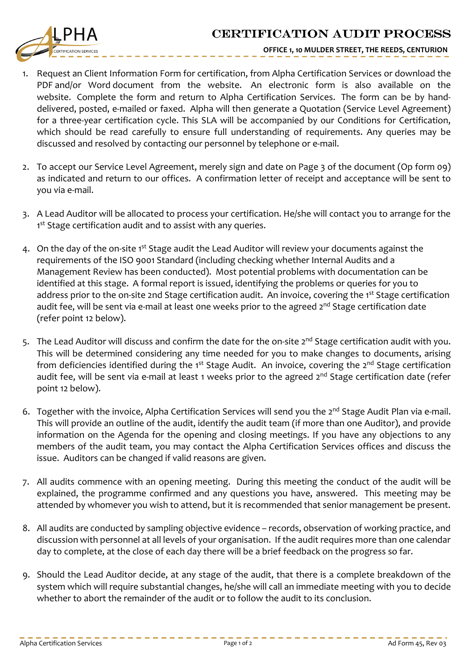## CERTIFICATION AUDIT PROCESS



**OFFICE 1, 10 MULDER STREET, THE REEDS, CENTURION**

- 1. Request an Client Information Form for certification, from Alpha Certification Services or download the PDF and/or Word document from the website. An electronic form is also available on the website. Complete the form and return to Alpha Certification Services. The form can be by handdelivered, posted, e-mailed or faxed. Alpha will then generate a Quotation (Service Level Agreement) for a three-year certification cycle. This SLA will be accompanied by our Conditions for Certification, which should be read carefully to ensure full understanding of requirements. Any queries may be discussed and resolved by contacting our personnel by telephone or e-mail.
- 2. To accept our Service Level Agreement, merely sign and date on Page 3 of the document (Op form 09) as indicated and return to our offices. A confirmation letter of receipt and acceptance will be sent to you via e-mail.
- 3. A Lead Auditor will be allocated to process your certification. He/she will contact you to arrange for the 1<sup>st</sup> Stage certification audit and to assist with any queries.
- 4. On the day of the on-site 1<sup>st</sup> Stage audit the Lead Auditor will review your documents against the requirements of the ISO 9001 Standard (including checking whether Internal Audits and a Management Review has been conducted). Most potential problems with documentation can be identified at this stage. A formal report is issued, identifying the problems or queries for you to address prior to the on-site 2nd Stage certification audit. An invoice, covering the 1<sup>st</sup> Stage certification audit fee, will be sent via e-mail at least one weeks prior to the agreed 2<sup>nd</sup> Stage certification date (refer point 12 below).
- 5. The Lead Auditor will discuss and confirm the date for the on-site 2<sup>nd</sup> Stage certification audit with you. This will be determined considering any time needed for you to make changes to documents, arising from deficiencies identified during the 1<sup>st</sup> Stage Audit. An invoice, covering the 2<sup>nd</sup> Stage certification audit fee, will be sent via e-mail at least 1 weeks prior to the agreed 2<sup>nd</sup> Stage certification date (refer point 12 below).
- 6. Together with the invoice, Alpha Certification Services will send you the 2<sup>nd</sup> Stage Audit Plan via e-mail. This will provide an outline of the audit, identify the audit team (if more than one Auditor), and provide information on the Agenda for the opening and closing meetings. If you have any objections to any members of the audit team, you may contact the Alpha Certification Services offices and discuss the issue. Auditors can be changed if valid reasons are given.
- 7. All audits commence with an opening meeting. During this meeting the conduct of the audit will be explained, the programme confirmed and any questions you have, answered. This meeting may be attended by whomever you wish to attend, but it is recommended that senior management be present.
- 8. All audits are conducted by sampling objective evidence records, observation of working practice, and discussion with personnel at all levels of your organisation. If the audit requires more than one calendar day to complete, at the close of each day there will be a brief feedback on the progress so far.
- 9. Should the Lead Auditor decide, at any stage of the audit, that there is a complete breakdown of the system which will require substantial changes, he/she will call an immediate meeting with you to decide whether to abort the remainder of the audit or to follow the audit to its conclusion.